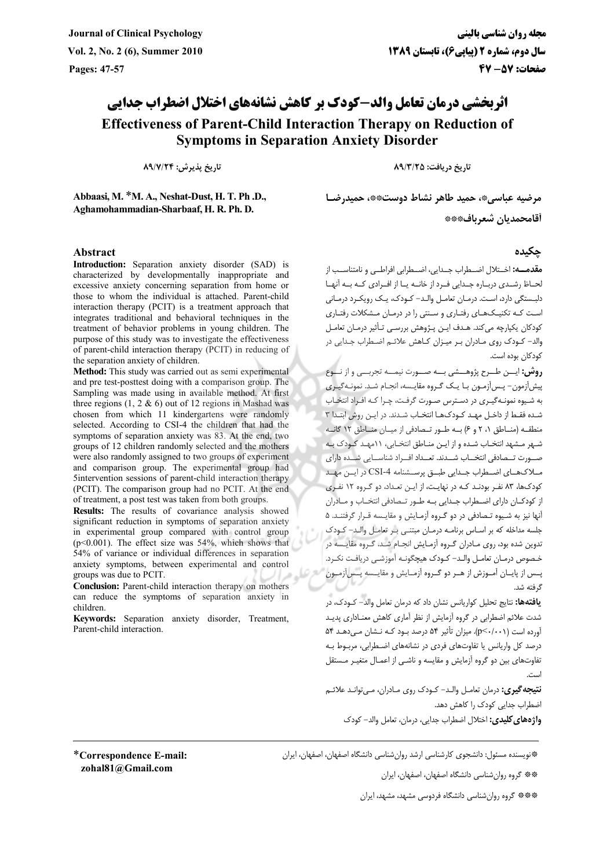## اثریخشی درمان تعامل والد-کودک بر کاهش نشانههای اختلال اضطراب حدایی **Effectiveness of Parent-Child Interaction Therapy on Reduction of Symptoms in Separation Anxiety Disorder**

تاريخ يذيرش: ۸۹/۷/۲۴

Abbaasi, M. \*M. A., Neshat-Dust, H. T. Ph .D., Aghamohammadian-Sharbaaf, H. R. Ph. D.

## **Abstract**

Introduction: Separation anxiety disorder (SAD) is characterized by developmentally inappropriate and excessive anxiety concerning separation from home or those to whom the individual is attached. Parent-child interaction therapy (PCIT) is a treatment approach that integrates traditional and behavioral techniques in the treatment of behavior problems in young children. The purpose of this study was to investigate the effectiveness of parent-child interaction therapy (PCIT) in reducing of the separation anxiety of children.

Method: This study was carried out as semi experimental and pre test-posttest doing with a comparison group. The Sampling was made using in available method. At first three regions  $(1, 2 \& 6)$  out of 12 regions in Mashad was chosen from which 11 kindergartens were randomly selected. According to CSI-4 the children that had the symptoms of separation anxiety was 83. At the end, two groups of 12 children randomly selected and the mothers were also randomly assigned to two groups of experiment and comparison group. The experimental group had Sintervention sessions of parent-child interaction therapy (PCIT). The comparison group had no PCIT. At the end of treatment, a post test was taken from both groups.

Results: The results of covariance analysis showed significant reduction in symptoms of separation anxiety in experimental group compared with control group  $(p<0.001)$ . The effect size was 54%, which shows that 54% of variance or individual differences in separation anxiety symptoms, between experimental and control groups was due to PCIT.

Conclusion: Parent-child interaction therapy on mothers can reduce the symptoms of separation anxiety in children

Keywords: Separation anxiety disorder, Treatment, Parent-child interaction.

تاریخ دریافت: ۸۹/۳/۲۵

مرضيه عباسي\*، حميد طاهر نشاط دوست\*\*، حميدرضـا أقامحمديان شعرباف۞۞

## حكىدە

**مقدمـــه:** اخــتلال اضــطراب حــدابر، اضــطرابر افراطـبر و نامتناســب از لحــاظ رشــدي دربــاره جــدايي فــرد از خانــه يــا از افــرادي كــه بــه آنهــا دلبستگی دارد، است. درمـان تعامـل والـد- کـودک، یـک رویکـرد درمـانی است کـه تکنیـکـهـای رفتـاری و سـنتی را در درمـان مـشکلات رفتـاری کودکان یکپارچه می کند. هـدف ایـن پـژوهش بررسـی تـأثیر درمـان تعامـل .<br>والد- کـودک روی مـادران بـر میـزان کـاهش علائـم اضـطراب جـدایے در كودكان بوده است.

**روش:** ایسن طبرح پژوهسشی بسه صبورت نیمسه تجربسی و از نسوع پیش آزمون- پس آزمـون بـا یـک گـروه مقایـسه، انجـام شـد. نمونـهگیـری به شیوه نمونـهگیـری در دسـترس صـورت گرفـت، چـرا کـه افـراد انتخـاب شـده فقـط از داخـل مهـد كـودكـهـا انتخـاب شـدند. در ايـن روش ابتـدا ۳ منطقه (مناطق ٢، ٢ و ۶) به طور تهادفي از ميان مناطق ١٢ كانه شـهر مـشهد انتخـاب شـده و از ايـن منـاطق انتخـابي، ١١مهـد كـودك بـه صبورت تبصادفي انتخباب شبيدند. تعبيداد افيراد شناسيايي شبيده داراي مبلاکهبای اضبطراب جندانی طبیق پرستشنامه CSI-4 در این مهید کودکها، ۸۳ نفـر بودنـد کـه در نهایـت، از ایـن تعـداد، دو گـروه ۱۲ نفـری از کودکـان دارای اضـطراب جـدایی بـه طـور تـصادفی انتخـاب و مــادران آنها نیز به شـیوه تـصادفی در دو گـروه آزمـایش و مقایـسه قـرار گرفتنـد. ۵ جلسه مداخله که بر اسـاس برنامـه درمـان مبتنـی بـر تعامـل والـد– کـودک تدوین شده بود، روی مـادران گـروه آزمـایش انجـام شـد. گـروه مقایـسه در .<br>خـصوص درمـان تعامـل والـد– كـودک هيچگونـه آموزشـي دريافـت نکـرد. پـس از پايــان آمــوزش از هــر دو گــروه آزمــايش و مقايــسه پــسآزمــون گ فته شد.

**یافتهها:** نتایج تحلیل کواریانس نشان داد که درمان تعامل والد– کـودک، در شدت علائم اضطرابی در گروه آزمایش از نظر آماری کاهش معنـاداری پدیـد آورده است (p<٠/٠٠١). میزان تأثیر ۵۴ درصد بود کـه نـشان مـیدهـد ۵۴ درصد کل واریانس یا تفاوتهای فردی در نشانههای اضطرابی، مربـوط بـه .<br>تفاوتهای بین دو گروه آزمایش و مقایسه و ناشـی از اعمـال متغیـر مـستقل

**نتيجه گيري:** درمان تعامـل والـد- كـودک روي مـادران، مـيتوانـد علائـم اضطراب جدایی کودک را کاهش دهد. واژههای کلیدی: اختلال اضطراب جدایی، درمان، تعامل والد– کودک

\*Correspondence E-mail: zohal81@Gmail.com

\*فویسنده مسئول: دانشجوی کارشناسی ارشد روان شناسی دانشگاه اصفهان، اصفهان، ایران

\*\*\* گروه روان شناسی دانشگاه اصفهان، اصفهان، ایران

\*\*\*\* گروه روانشناسی دانشگاه فردوسی مشهد، مشهد، ایران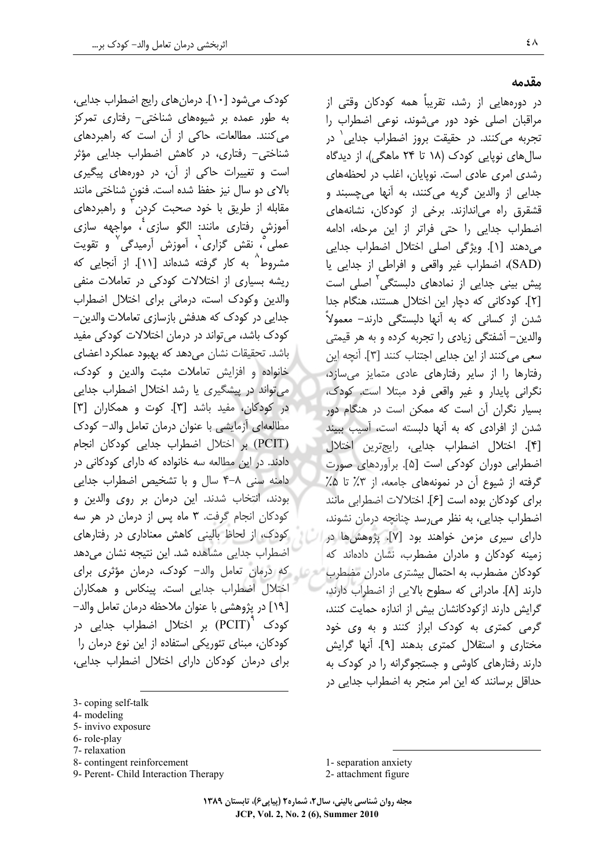کودک می شود [۱۰]. درمان های رایج اضطراب جدایی، به طور عمده بر شیوههای شناختی– رفتاری تمرکز می کنند. مطالعات، حاکی از آن است که راهبردهای شناختی- رفتاری، در کاهش اضطراب جدایی مؤثر است و تغییرات حاکی از آن، در دورههای پیگیری بالای دو سال نیز حفظ شده است. فنون شناختی مانند مقابله از طریق با خود صحبت کردن ٰ و راهبردهای آموزش رفتاری مانند: الگو سازی ٔ، مواجهه سازی عملی ؒ، نقش گزاری ؒ، آموزش آرمیدگی ؒ و تقویت مشروط^ به کار گرفته شدهاند [۱۱]. از آنجایی که ریشه بسیاری از اختلالات کودکی در تعاملات منفی والدین وکودک است، درمانی برای اختلال اضطراب جدایی در کودک که هدفش بازسازی تعاملات والدین– کودک باشد، می تواند در درمان اختلالات کودکی مفید باشد. تحقیقات نشان میدهد که بهبود عملکرد اعضای خانواده و افزایش تعاملات مثبت والدین و کودک، می تواند در پیشگیری یا رشد اختلال اضطراب جدایی در کودکان، مفید باشد [۳]. کوت و همکاران [۳] مطالعهاى آزمايشي با عنوان درمان تعامل والد– كودك (PCIT) بر اختلال اضطراب جدایی کودکان انجام دادند. در این مطالعه سه خانواده که دارای کودکانی در دامنه سنی ۸–۴ سال و با تشخیص اضطراب جدایی بودند، انتخاب شدند. این درمان بر روی والدین و کودکان انجام گرفت. ۳ ماه پس از درمان در هر سه کودک، از لحاظ بالینی کاهش معناداری در رفتارهای اضطراب جدایی مشاهده شد. این نتیجه نشان می دهد روم از كه درمان تعامل والد- كودك، درمان مؤثري براي اختلال اضطراب جدایی است. پینکاس و همکاران [١٩] در پژوهشی با عنوان ملاحظه درمان تعامل والد– کودک <sup>۱</sup> (PCIT) بر اختلال اضطراب جدایی در کودکان، مبنای تئوریکی استفاده از این نوع درمان را برای درمان کودکان دارای اختلال اضطراب جدایی،

- 3- coping self-talk
- 4- modeling
- 5- invivo exposure
- 6-role-play
- 7- relaxation
- 8- contingent reinforcement
- 9- Perent- Child Interaction Therapy

1- separation anxiety 2- attachment figure

مجله روان شناسی بالینی، سال۲، شماره۲ (پیاپی۶)، تابستان ۱۳۸۹ JCP, Vol. 2, No. 2 (6), Summer 2010

مقدمه

در دورەھايى از رشد، تقريباً ھمە كودكان وقتى از مراقبان اصلي خود دور مي شوند، نوعي اضطراب را تجربه میکنند. در حقیقت بروز اضطراب جدایی<sup>۱</sup> در سال های نویایی کودک (۱۸ تا ۲۴ ماهگی)، از دیدگاه رشدی امری عادی است. نوپایان، اغلب در لحظههای جدایی از والدین گریه می کنند، به آنها می چسبند و قشقرق راه می|ندازند. برخی از کودکان، نشانههای اضطراب جدایی را حتی فراتر از این مرحله، ادامه می دهند [۱]. ویژگی اصلی اختلال اضطراب جدایی (SAD)، اضطراب غير واقعي و افراطي از جدايي يا پیش بینی جدایی از نمادهای دلبستگی<sup>۲</sup> اصلی است [٢]. کودکانی که دچار این اختلال هستند، هنگام جدا شدن از کسانی که به آنها دلبستگی دارند– معمولاً والدین– آشفتگی زیادی را تجربه کرده و به هر قیمتی سعی می کنند از این جدایی اجتناب کنند [۳]. آنچه این رفتارها را از سایر رفتارهای عادی متمایز میسازد، نگرانی پایدار و غیر واقعی فرد مبتلا است. کودک، بسیار نگران آن است که ممکن است در هنگام دور شدن از افرادی که به آنها دلبسته است، آسیب ببیند [۴]. اختلال اضطراب جدایی، رایجترین اختلال اضطرابی دوران کودکی است [۵]. برآوردهای صورت گرفته از شیوع آن در نمونههای جامعه، از ۳٪ تا ۵٪ برای کودکان بوده است [۶]. اختلالات اضطرابی مانند اضطراب جدایی، به نظر می رسد چنانچه درمان نشوند، دارای سیری مزمن خواهند بود [۷]. پژوهش ها در زمینه کودکان و مادران مضطرب، نشان دادهاند که کودکان مضطرب، به احتمال بیشتری مادران مضطرب دارند [۸]. مادرانی که سطوح بالایی از اضطراب دارند، گرایش دارند ازکودکانشان بیش از اندازه حمایت کنند، گرمی کمتری به کودک ابراز کنند و به وی خود مختاری و استقلال کمتری بدهند [۹]. آنها گرایش دارند رفتارهای کاوشی و جستجوگرانه را در کودک به حداقل برسانند كه اين امر منجر به اضطراب جدايي در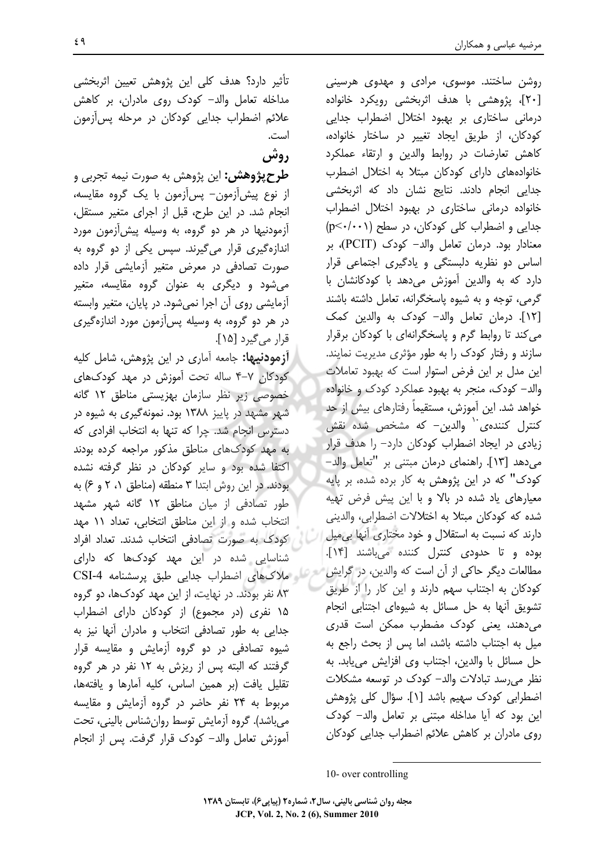روشن ساختند. موسوی، مرادی و مهدوی هرسینی [۲۰]، پژوهشی با هدف اثربخشی رویکرد خانواده درمانی ساختاری بر بھبود اختلال اضطراب جدایی کودکان، از طریق ایجاد تغییر در ساختار خانواده، كاهش تعارضات در روابط والدين و ارتقاء عملكرد خانوادههای دارای کودکان مبتلا به اختلال اضطرب جدایی انجام دادند. نتایج نشان داد که اثربخشی خانواده درمانی ساختاری در بهبود اختلال اضطراب جدایی و اضطراب کلی کودکان، در سطح (p<٠/٠٠١) معنادار بود. درمان تعامل والد- كودك (PCIT)، بر اساس دو نظریه دلبستگی و یادگیری اجتماعی قرار دارد که به والدین آموزش میدهد با کودکانشان با گرمی، توجه و به شیوه یاسخگرانه، تعامل داشته باشند [١٢]. درمان تعامل والد- كودك به والدين كمك می کند تا روابط گرم و پاسخگرانهای با کودکان برقرار سازند و رفتار کودک را به طور مؤثری مدیریت نمایند. این مدل بر این فرض استوار است که بهبود تعاملات والد- کودک، منجر به بهبود عملکرد کودک و خانواده خواهد شد. این آموزش، مستقیماً رفتارهای بیش از حد کنترل کنندهی<sup>۱۰</sup> والدین- که مشخص شده نقش زیادی در ایجاد اضطراب کودکان دارد- را هدف قرار می دهد [۱۳]. راهنمای درمان مبتنی بر "تعامل والد– کودک" که در این پژوهش به کار برده شده، بر پایه معیارهای یاد شده در بالا و با این پیش فرض تهیه شده که کودکان مبتلا به اختلالات اضطرابی، والدینی دارند که نسبت به استقلال و خود مختاری آنها بی میل بوده وتا حدودى كنترل كننده مى باشند [١۴]. مطالعات دیگر حاکی از آن است که والدین، در گرایش کودکان به اجتناب سهم دارند و این کار را از طریق تشویق آنها به حل مسائل به شیوهای اجتنابی انجام می دهند، یعنی کودک مضطرب ممکن است قدری ميل به اجتناب داشته باشد، اما يس از بحث راجع به حل مسائل با والدين، اجتناب وي افزايش مي يابد. به نظر می رسد تبادلات والد- کودک در توسعه مشکلات اضطرابی کودک سهیم باشد [۱]. سؤال کلی پژوهش این بود که آیا مداخله مبتنی بر تعامل والد– کودک روی مادران بر کاهش علائم اضطراب جدایی کودکان

10- over controlling

مجله روان شناسی بالینی، سال۲، شماره۲ (پیاپی۶)، تابستان ۱۳۸۹ JCP, Vol. 2, No. 2 (6), Summer 2010

تأثیر دارد؟ هدف کلی این پژوهش تعیین اثربخش*ی* مداخله تعامل والد- کودک روی مادران، بر کاهش علائم اضطراب جدایی کودکان در مرحله پس[زمون است.

دوش

**طرح پژوهش:** این پژوهش به صورت نیمه تجربی و از نوع پیش[زمون– پس[زمون با یک گروه مقایسه، انجام شد. در این طرح، قبل از اجرای متغیر مستقل، آزمودنیها در هر دو گروه، به وسیله پیش آزمون مورد اندازهگیری قرار میگیرند. سپس یکی از دو گروه به صورت تصادفی در معرض متغیر آزمایشی قرار داده می شود و دیگری به عنوان گروه مقایسه، متغیر آزمایشی روی آن اجرا نمیشود. در پایان، متغیر وابسته در هر دو گروه، به وسیله پسآزمون مورد اندازهگیری قرار میگیرد [۱۵].

**آزمودنیها:** جامعه آماری در این پژوهش، شامل کلیه کودکان ۷–۴ ساله تحت آموزش در مهد کودکهای خصوصی زیر نظر سازمان بھزیستی مناطق ۱۲ گانه شهر مشهد در پاییز ۱۳۸۸ بود. نمونهگیری به شیوه در دسترس انجام شد. چرا که تنها به انتخاب افرادی که به مهد کودکهای مناطق مذکور مراجعه کرده بودند اکتفا شده بود و سایر کودکان در نظر گرفته نشده بودند. در این روش ابتدا ۳ منطقه (مناطق ۰، ۲ و ۶) به طور تصادفی از میان مناطق ۱۲ گانه شهر مشهد انتخاب شده و از این مناطق انتخابی، تعداد ۱۱ مهد كودك به صورت تصادفي انتخاب شدند. تعداد افراد شناسایی شده در این مهد کودک@ا که دارای 8 ملاک های اضطراب جدایی طبق پرسشنامه CSI-4 ۸۳ نفر بودند. در نهایت، از این مهد کودکها، دو گروه ١۵ نفرى (در مجموع) از كودكان داراى اضطراب جدایی به طور تصادفی انتخاب و مادران آنها نیز به شیوه تصادفی در دو گروه آزمایش و مقایسه قرار گرفتند که البته پس از ریزش به ۱۲ نفر در هر گروه تقليل يافت (بر همين اساس، كليه آمارها و يافتهها، مربوط به ۲۴ نفر حاضر در گروه آزمایش و مقایسه میباشد). گروه آزمایش توسط روانشناس بالینی، تحت آموزش تعامل والد– کودک قرار گرفت. پس از انجام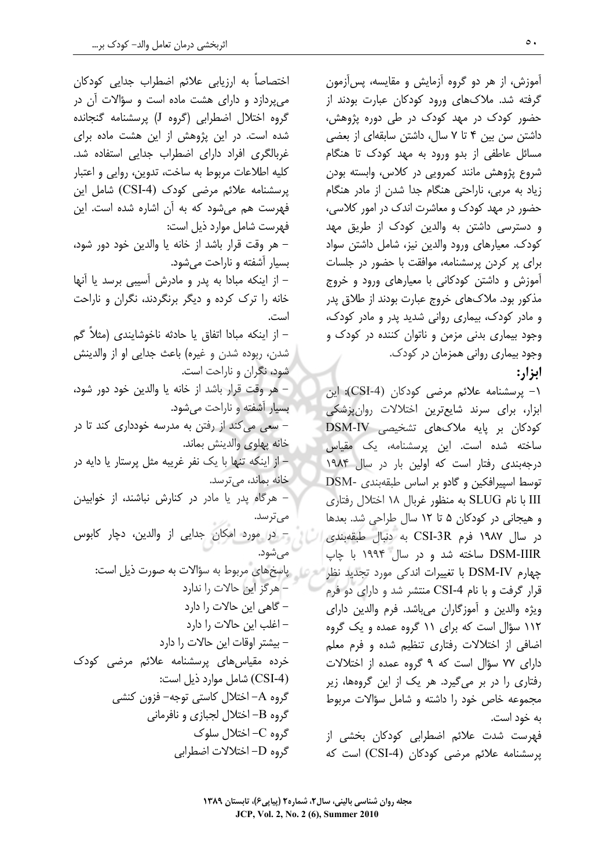اختصاصاً به ارزیابی علائم اضطراب جدایی کودکان می پردازد و دارای هشت ماده است و سؤالات آن در گروه اختلال اضطرابی (گروه J) پرسشنامه گنجانده شده است. در این پژوهش از این هشت ماده برای غربالگری افراد دارای اضطراب جدایی استفاده شد. كليه اطلاعات مربوط به ساخت، تدوين، روايي و اعتبار یرسشنامه علائم مرضی کودک (CSI-4) شامل این فهرست هم می,شود که به آن اشاره شده است. این فهرست شامل موارد ذیل است: – هر وقت قرار باشد از خانه یا والدین خود دور شود، بسیار آشفته و ناراحت میشود. – از اینکه مبادا به پدر و مادرش آسیبی برسد یا آنها خانه را ترک کرده و دیگر برنگردند، نگران و ناراحت است. – از اینکه مبادا اتفاق یا حادثه ناخوشایندی (مثلاً گم شدن، ربوده شدن و غیره) باعث جدایی او از والدینش شود، نگران و ناراحت است. – هر وقت قرار باشد از خانه یا والدین خود دور شود، بسیار آشفته و ناراحت میشود. – سعی می کند از رفتن به مدرسه خودداری کند تا در خانه پهلوى والدينش بماند. – از اینکه تنها با یک نفر غریبه مثل پرستار یا دایه در خانه بماند، می ترسد. - هرگاه پدر یا مادر در کنارش نباشند، از خوابیدن مے تر سد. – در مورد امکان جدایی از والدین، دچار کابوس مے شود. روس پاسخهای مربوط به سؤالات به صورت ذیل است: – هرگز این حالات را ندارد – گاهی این حالات را دارد – اغلب این حالات را دارد – بیشتر اوقات این حالات را دارد خرده مقیاس های پرسشنامه علائم مرضی کودک (CSI-4) شامل موارد ذیل است: گروه A– اختلال کاستی توجه– فزون کنشی گروه B– اختلال لجبازی و نافرمانی گروه C- اختلال سلوک گروه D- اختلالات اضطرابی

آموزش، از هر دو گروه آزمایش و مقایسه، پسآزمون گرفته شد. ملاکهای ورود کودکان عبارت بودند از حضور کودک در مهد کودک در طی دوره پژوهش، داشتن سن بین ۴ تا ۷ سال، داشتن سابقهای از بعضی مسائل عاطفی از بدو ورود به مهد کودک تا هنگام شروع پژوهش مانند کمرویی در کلاس، وابسته بودن زیاد به مربی، ناراحتی هنگام جدا شدن از مادر هنگام حضور در مهد کودک و معاشرت اندک در امور کلاسی، و دسترسی داشتن به والدین کودک از طریق مهد کودک. معیارهای ورود والدین نیز، شامل داشتن سواد برای پر کردن پرسشنامه، موافقت با حضور در جلسات آموزش و داشتن كودكانى با معيارهاى ورود و خروج مذکور بود. ملاکھای خروج عبارت بودند از طلاق پدر و مادر کودک، بیماری روانی شدید پدر و مادر کودک، وجود بیماری بدنی مزمن و ناتوان کننده در کودک و وجود بیماری روانی همزمان در کودک. ابزار:

۱- پرسشنامه علائم مرضى كودكان (CSI-4): اين ابزار، برای سرند شایعترین اختلالات روانپزشکی کودکان بر پایه ملاکهای تشخیصی DSM-IV ساخته شده است. این پرسشنامه، یک مقیاس درجهبندی رفتار است که اولین بار در سال ۱۹۸۴ توسط اسييرافكين و گادو بر اساس طبقهبندي -DSM III با نام SLUG به منظور غربال ۱۸ اختلال رفتاری و هیجانی در کودکان ۵ تا ۱۲ سال طراحی شد. بعدها در سال ۱۹۸۷ فرم CSI-3R به دنبال طبقهبندی DSM-IIIR ساخته شد و در سال ۱۹۹۴ با چاپ چهارم DSM-IV با تغییرات اندکی مورد تجدید نظر قرار گرفت و با نام CSI-4 منتشر شد و دارای دو فرم ويژه والدين و آموزگاران مي باشد. فرم والدين داراي ۱۱۲ سؤال است که برای ۱۱ گروه عمده و یک گروه اضافی از اختلالات رفتاری تنظیم شده و فرم معلم دارای ۷۷ سؤال است که ۹ گروه عمده از اختلالات رفتاری را در بر میگیرد. هر یک از این گروهها، زیر مجموعه خاص خود را داشته و شامل سؤالات مربوط به خود است.

فهرست شدت علائم اضطرابی کودکان بخشی از پرسشنامه علائم مرضی کودکان (CSI-4) است که

مجله روان شناسی بالینی، سال۲، شماره۲ (پیاپی۶)، تابستان ۱۳۸۹ JCP, Vol. 2, No. 2 (6), Summer 2010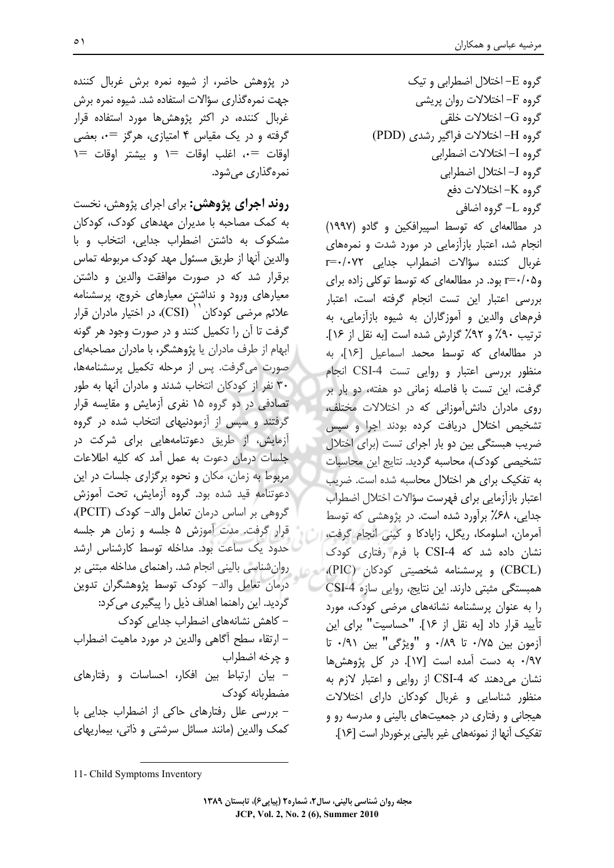گروه E- اختلال اضطرابی و تیک گروه F- اختلالات روان پریش*ی* گروه G- اختلالات خلقی گروه H-اختلالات فراگیر رشدی (PDD) گروه I- اختلالات اضطراب<u>ی</u> گروه J- اختلال اضطراب<u>ی</u> گروه K- اختلالات دفع گروہ ∟– گروہ اضاف*ی* در مطالعهای که توسط اسپیرافکین و گادو (۱۹۹۷) انجام شد، اعتبار بازآزمایی در مورد شدت و نمرههای غربال كننده سؤالات اضطراب جدايي r=٠/٠٧٢ وr=۰/۰۵ بود. در مطالعهای که توسط توکلی زاده برای بررسی اعتبار این تست انجام گرفته است، اعتبار فرمهای والدین و آموزگاران به شیوه بازآزمایی، به ترتيب ٩٠٪ و ٩٢٪ گزارش شده است [به نقل از ١۶]. در مطالعهای که توسط محمد اسماعیل [۱۶]، به منظور بررسی اعتبار و روایی تست CSI-4 انجام گرفت، این تست با فاصله زمانی دو هفته، دو بار بر روی مادران دانش آموزانی که در اختلالات مختلف، تشخیص اختلال دریافت کرده بودند اجرا و سیس ضریب هبستگی بین دو بار اجرای تست (برای اختلال تشخیصی کودک)، محاسبه گردید. نتایج این محاسبات به تفکیک برای هر اختلال محاسبه شده است. ضریب اعتبار بازآزمایی برای فهرست سؤالات اختلال اضطراب جدایی، ۶۸٪ برآورد شده است. در پژوهشی که توسط آمرمان، اسلومکا، ریگل، زایادکا و کینی انجام گرفت، نشان داده شد که CSI-4 با فرم رفتاری کودک (CBCL) و پرسشنامه شخصیتی کودکان (PIC)، همبستگی مثبتی دارند. این نتایج، روایی سازه CSI-4 را به عنوان پرسشنامه نشانههای مرضی کودک، مورد تأييد قرار داد [به نقل از ١۶]. "حساسيت" براي اين آزمون بين ٧۵/٠ تا ١٨٩٠ و "ويژگي" بين ٩١/٠ تا ٩٧/٠ به دست آمده است [١٧]. در كل پژوهش ها نشان می دهند که CSI-4 از روایی و اعتبار لازم به منظور شناسایی و غربال کودکان دارای اختلالات هیجانی و رفتاری در جمعیتهای بالینی و مدرسه رو و تفكيك أنها از نمونههاي غير باليني برخوردار است [۱۶].

در پژوهش حاضر، از شیوه نمره برش غربال کننده جهت نمرهگذاری سؤالات استفاده شد. شیوه نمره برش غربال کننده، در اکثر پژوهش ها مورد استفاده قرار گرفته و در یک مقیاس ۴ امتیازی، هرگز =۰، بعضی  $\left| \begin{array}{cc} \overline{ } \\ \overline{ } \\ \overline{ } \end{array} \right| =$  اوقات  $\left| \begin{array}{cc} \\ \overline{ } \\ \overline{ } \end{array} \right|$  اوقات اوقات ا نمره گذاري مي شود.

**روند اجرای پژوهش:** برای اجرای پژوهش، نخست به کمک مصاحبه با مدیران مهدهای کودک، کودکان مشکوک به داشتن اضطراب جدایی، انتخاب و با والدين أنها از طريق مسئول مهد كودك مربوطه تماس برقرار شد که در صورت موافقت والدین و داشتن معیارهای ورود و نداشتن معیارهای خروج، پرسشنامه علائم مرضى كودكان `` (CSI)، در اختيار مادران قرار گرفت تا آن را تکمیل کنند و در صورت وجود هر گونه ابهام از طرف مادران یا پژوهشگر، با مادران مصاحبهای صورت میگرفت. پس از مرحله تکمیل پرسشنامهها، ۳۰ نفر از کودکان انتخاب شدند و مادران آنها به طور تصادفی در دو گروه ۱۵ نفری آزمایش و مقایسه قرار گرفتند و سپس از آزمودنیهای انتخاب شده در گروه آزمایش، از طریق دعوتنامههایی برای شرکت در جلسات درمان دعوت به عمل آمد که کلیه اطلاعات مربوط به زمان، مکان و نحوه برگزاری جلسات در این دعوتنامه قيد شده بود. گروه آزمايش، تحت آموزش گروهی بر اساس درمان تعامل والد- کودک (PCIT)، قرار گرفت. مدت آموزش ۵ جلسه و زمان هر جلسه حدود یک ساعت بود. مداخله توسط کارشناس ارشد روان شناسی بالینی انجام شد. راهنمای مداخله مبتنی بر درمان تعامل والد- كودك توسط پژوهشگران تدوين گردید. این راهنما اهداف ذیل را پیگیری می کرد: – کاهش نشانههای اضطراب جدایی کودک – ارتقاء سطح آگاهی والدین در مورد ماهیت اضطراب و چرخه اضطراب - بیان ارتباط بین افکار، احساسات و رفتارهای مضطربانه كودك – بررسی علل رفتارهای حاکی از اضطراب جدایی با کمک والدین (مانند مسائل سرشتی و ذاتی، بیماریهای

<sup>11-</sup> Child Symptoms Inventory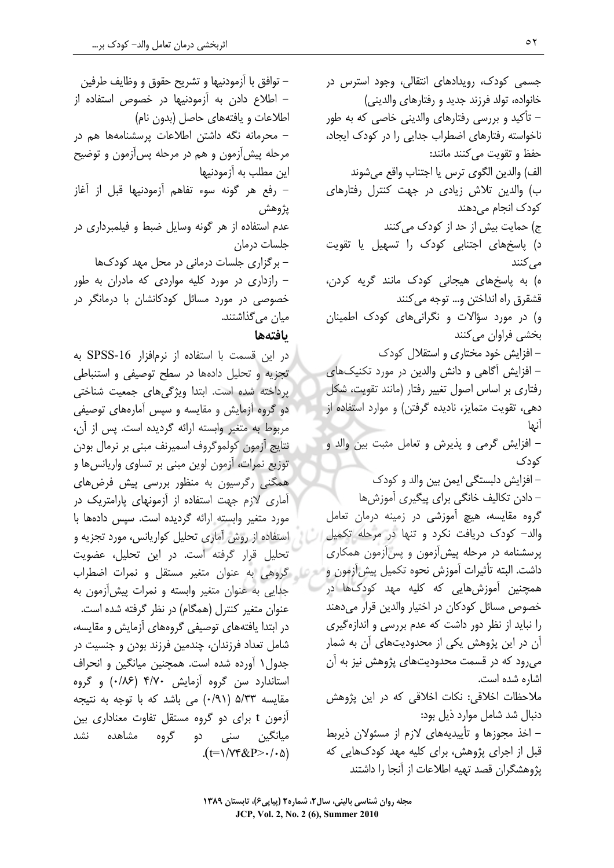– توافق با آزمودنیها و تشریح حقوق و وظایف طرفین – اطلاع دادن به آزمودنیها در خصوص استفاده از اطلاعات و یافتههای حاصل (بدون نام) – محرمانه نگه داشتن اطلاعات پرسشنامهها هم در مرحله پیش[زمون و هم در مرحله پس[زمون و توضیح این مطلب به آزمودنیها – رفع هر گونه سوء تفاهم آزمودنیها قبل از آغاز يژوهش .<br>عدم استفاده از هر گونه وسایل ضبط و فیلمبردار*ی* در جلسات درمان – برگزاری جلسات درمانی در محل مهد کودکها – رازداری در مورد کلیه مواردی که مادران به طور خصوصی در مورد مسائل کودکانشان با درمانگر در میان می گذاشتند.

## بافتهها

در این قسمت با استفاده از نرمافزار SPSS-16 به تجزیه و تحلیل دادهها در سطح توصیفی و استنباطی پرداخته شده است. ابتدا ویژگیهای جمعیت شناختی دو گروه آزمایش و مقایسه و سپس آمارههای توصیفی مربوط به متغیر وابسته ارائه گردیده است. پس از آن، نتايج آزمون كولموگروف اسميرنف مبنى بر نرمال بودن توزیع نمرات، آزمون لوین مبنی بر تساوی واریانسها و همگنی رگرسیون به منظور بررسی پیش فرضهای آماری لازم جهت استفاده از آزمونهای پارامتریک در مورد متغیر وابسته ارائه گردیده است. سپس دادهها با استفاده از روش آماری تحلیل کواریانس، مورد تجزیه و تحلیل قرار گرفته است. در این تحلیل، عضویت است از گروهی به عنوان متغیر مستقل و نمرات اضطراب جدایی به عنوان متغیر وابسته و نمرات پیشآزمون به عنوان متغیر کنترل (همگام) در نظر گرفته شده است. در ابتدا یافتههای توصیفی گروههای آزمایش و مقایسه، شامل تعداد فرزندان، چندمین فرزند بودن و جنسیت در جدول ۱ آورده شده است. همچنین میانگین و انحراف استاندارد سن گروه آزمایش ۴/۷۰ (۰/۸۶ و گروه مقایسه ۵/۳۳ (۰/۹۱) می باشد که با توجه به نتیجه آزمون t برای دو گروه مستقل تفاوت معناداری بین میانگین سن*ی* دو گروه مشاهده نشد  $(t=1/\gamma$ ۴&P> $\cdot/\gamma$ ۵)

جسمی کودک، رویدادهای انتقالی، وجود استرس در خانواده، تولد فرزند جدید و رفتارهای والدینی) – تأکید و بررسی رفتارهای والدینی خاصی که به طور ناخواسته رفتارهای اضطراب جدایی را در کودک ایجاد، حفظ و تقويت مي كنند مانند: الف) والدين الگوى ترس يا اجتناب واقع مى شوند ب) والدین تلاش زیادی در جهت کنترل رفتارهای کودک انجام می دهند ج) حمایت بیش از حد از کودک می کنند د) یاسخهای اجتنابی کودک را تسهیل یا تقویت مے ,کنند ه) به پاسخهای هیجانی کودک مانند گریه کردن، قشقرق راه انداختن و… توجه می کنند و) در مورد سؤالات و نگرانی های کودک اطمینان بخشي فراوان مي كنند - افزایش خود مختاری و استقلال کودک - افزایش آگاهی و دانش والدین در مورد تکنیکهای رفتاری بر اساس اصول تغییر رفتار (مانند تقویت، شکل دهی، تقویت متمایز، نادیده گرفتن) و موارد استفاده از آنها – افزایش گرمی و پذیرش و تعامل مثبت بین والد و کودک – افزایش دلبستگی ایمن بین والد و کودک - دادن تکالیف خانگی برای پیگیری آموزشها گروه مقایسه، هیچ آموزشی در زمینه درمان تعامل والد- کودک دریافت نکرد و تنها در مرحله تکمیل پرسشنامه در مرحله پیش آزمون و پس آزمون همکاری داشت. البته تأثيرات آموزش نحوه تكميل پيش آزمون و همچنین آموزشهایی که کلیه مهد کودکها در خصوص مسائل کودکان در اختیار والدین قرار می دهند را نباید از نظر دور داشت که عدم بررسی و اندازهگیری آن در این پژوهش یکی از محدودیتهای آن به شمار می,رود که در قسمت محدودیتهای پژوهش نیز به آن اشاره شده است. ملاحظات اخلاقی: نکات اخلاقی که در این پژوهش دنبال شد شامل موارد ذیل بود: - اخذ مجوزها و تأييديههاى لازم از مسئولان ذيربط قبل از اجرای پژوهش، برای کلیه مهد کودکهایی که يژوهشگران قصد تهيه اطلاعات از آنجا را داشتند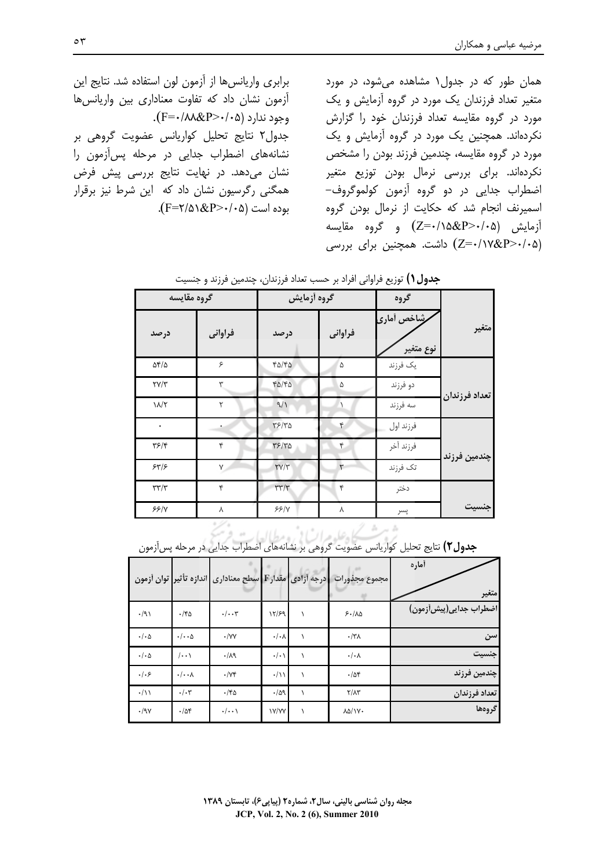برابری واریانسها از آزمون لون استفاده شد. نتایج این آزمون نشان داد که تفاوت معناداری بین واریانس ها وجود ندارد (F=٠/٨٨&P>٠/٠۵). جدول۲ نتایج تحلیل کواریانس عضویت گروهی بر نشانههای اضطراب جدایی در مرحله پس آزمون را نشان میدهد. در نهایت نتایج بررسی پیش فرض همگنی رگرسیون نشان داد که این شرط نیز برقرار بوده است (F=۲/۵۱&P>۰/۰۵).

همان طور که در جدول۱ مشاهده می شود، در مورد متغیر تعداد فرزندان یک مورد در گروه آزمایش و یک مورد در گروه مقایسه تعداد فرزندان خود را گزارش نکردهاند. همچنین یک مورد در گروه آزمایش و یک مورد در گروه مقایسه، چندمین فرزند بودن را مشخص نكردهاند. براي بررسي نرمال بودن توزيع متغير اضطراب جدایی در دو گروه آزمون کولموگروف-اسمیرنف انجام شد که حکایت از نرمال بودن گروه  $(Z = \cdot / \lambda \& P > \cdot / \cdot \Delta)$  و گروه مقایسه (Z=٠/١٧&P>٠/٠۵) داشت. همچنین برای بررسی

|               | گروه                     | گروه أزمايش |                                               | گروه مقايسه |                      |  |
|---------------|--------------------------|-------------|-----------------------------------------------|-------------|----------------------|--|
| متغير         | رشاخص أمارى<br>نوع متغير | فراواني     | درصد                                          | فراواني     | درصد                 |  |
|               | يک فرزند                 | $\Delta$    | $f\Delta/f\Delta$                             | ۶           | $\Delta f/\Delta$    |  |
|               | دو فرزند                 | ۵           | $f\Delta/f\Delta$                             | ٣           | $\tau$ $\gamma/\tau$ |  |
| تعداد فرزندان | سه فرزند                 |             | 9/1                                           | ٢           | $1/\sqrt{7}$         |  |
|               | فرزند اول                | ۴           | $\mathbf{r}$ $\mathbf{r}$                     | ٠           | ۰                    |  |
| چندمین فرزند  | فرزند آخر                | ۴           | $\mathsf{r} \mathsf{s}/\mathsf{r} \mathsf{a}$ | ۴           | $\mathbf{y}$         |  |
|               | تک فرزند                 | ٣           | $\Upsilon V/\Upsilon$                         | Y           | 54/5                 |  |
|               | دختر                     | ۴           | $\Upsilon \Upsilon \Upsilon$                  | ۴           | $\tau\tau/\tau$      |  |
| جنسيت         | پسر                      | γ           | 55/4                                          | γ           | 55/N                 |  |

**جدول ()** توزیع فراوانی افراد بر حسب تعداد فرزندان، چندمین فرزند و جنسیت

| ج <b>دول ۲)</b> نتایج تحلیل کواریانس عضویت گروهی بر نشانههای اضطراب جدایی در مرحله پس زمون |                      |  |                      |                                                                |                             |                      |  |  |
|--------------------------------------------------------------------------------------------|----------------------|--|----------------------|----------------------------------------------------------------|-----------------------------|----------------------|--|--|
| أماره<br>متغير                                                                             | امجموع مجذورات       |  |                      | درجه آزادی   مقدار F   سطح معناداری   اندازه تأثیر  توان آزمون |                             |                      |  |  |
| اضطراب جدایی(پیش زمون)                                                                     | 5.100                |  | 17/59                | $\cdot/\cdot\cdot$ ۳                                           | $\cdot$ /۴۵                 | $\cdot$ /9)          |  |  |
| سن                                                                                         | $\cdot$ /٣٨          |  | $\cdot/\cdot \wedge$ | $\cdot$ /YY                                                    | $\cdot/\cdot\cdot\Delta$    | $\cdot/\cdot \Delta$ |  |  |
| جنسيت                                                                                      | $\cdot/\cdot \wedge$ |  | $\cdot/\cdot$        | .14                                                            | $\ket{\cdots}$              | $\cdot/\cdot \Delta$ |  |  |
| چندمین فرزند                                                                               | .788                 |  | $\cdot/\rightarrow$  | $\cdot$ / $\vee$ ۴                                             | $\cdot/\cdot\cdot$ $\wedge$ | .   . 5              |  |  |
| تعداد فرزندان                                                                              | $Y/\Lambda Y$        |  | $-109$               | ۱۴۵.                                                           | $\cdot/\cdot$ ۳             | $\cdot/\lambda$      |  |  |
| گروهها                                                                                     | <b>AD/1Y.</b>        |  | <b>IY/YY</b>         | $\cdot/\cdot\cdot$                                             | .788                        | $\cdot$ /9 $\vee$    |  |  |

ثرة بشسكاه على مراسا بي ومطالعات فرسخ ر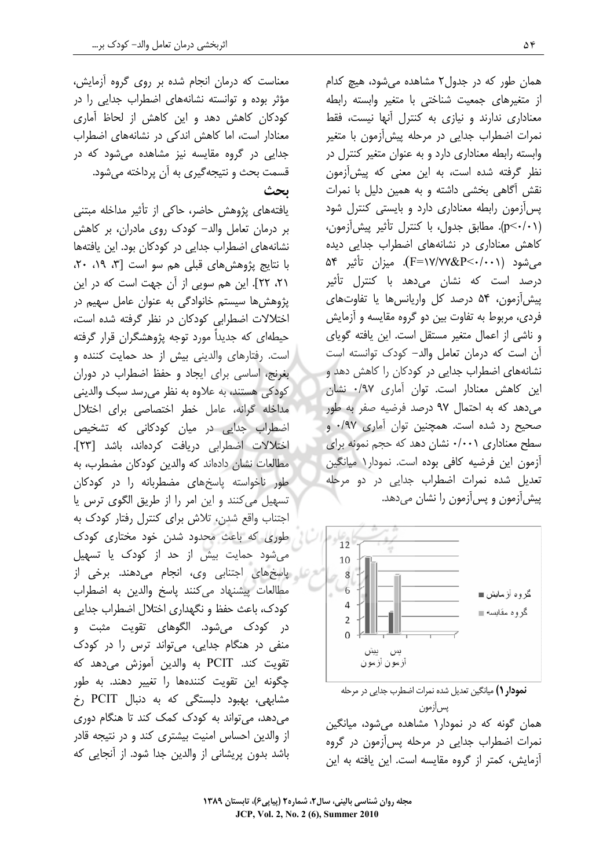معناست که درمان انجام شده بر روی گروه آزمایش، مؤثر بوده و توانسته نشانههای اضطراب جدایی را در کودکان کاهش دهد و این کاهش از لحاظ آماری معنادار است، اما کاهش اندکی در نشانههای اضطراب جدایی در گروه مقایسه نیز مشاهده میشود که در قسمت بحث و نتیجه گیری به آن پرداخته میشود.

بحث

یافتههای پژوهش حاضر، حاکی از تأثیر مداخله مبتنی بر درمان تعامل والد– کودک روی مادران، بر کاهش نشانههای اضطراب جدایی در کودکان بود. این یافتهها با نتايج پژوهش هاي قبلي هم سو است [٣، ١٩، ٢٠، ٢١، ٢٢]. این هم سویی از آن جهت است که در این پژوهشها سیستم خانوادگی به عنوان عامل سهیم در اختلالات اضطرابی کودکان در نظر گرفته شده است، حیطهای که جدیداً مورد توجه پژوهشگران قرار گرفته است. رفتارهای والدینی بیش از حد حمایت کننده و بغرنج، اساسی برای ایجاد و حفظ اضطراب در دوران کودکی هستند، به علاوه به نظر میرسد سبک والدینی مداخله گرانه، عامل خطر اختصاصی برای اختلال اضطراب جدایی در میان کودکانی که تشخیص اختلالات اضطرابي دريافت كردهاند، باشد [٢٣]. مطالعات نشان دادهاند که والدین کودکان مضطرب، به طور ناخواسته پاسخهای مضطربانه را در کودکان تسهیل میکنند و این امر را از طریق الگوی ترس یا اجتناب واقع شدن، تلاش برای کنترل رفتار کودک به طوری که باعث محدود شدن خود مختاری کودک می شود حمایت بیش از حد از کودک یا تسهیل ی پاسخهای اجتنابی وی، انجام میدهند. برخی از مطالعات پیشنهاد می کنند پاسخ والدین به اضطراب كودك، باعث حفظ و نگهداري اختلال اضطراب جدايي در کودک میشود. الگوهای تقویت مثبت و منفی در هنگام جدایی، میتواند ترس را در کودک تقويت كند. PCIT به والدين آموزش مى دهد كه چگونه این تقویت کنندهها را تغییر دهند. به طور مشابهی، بهبود دلبستگی که به دنبال PCIT رخ می دهد، می تواند به کودک کمک کند تا هنگام دوری از والدین احساس امنیت بیشتری کند و در نتیجه قادر باشد بدون پریشانی از والدین جدا شود. از آنجایی که

همان طور که در جدول۲ مشاهده می شود، هیچ کدام از متغیرهای جمعیت شناختی با متغیر وابسته رابطه معناداری ندارند و نیازی به کنترل آنها نیست، فقط نمرات اضطراب جدایی در مرحله پیش[زمون با متغیر وابسته رابطه معناداری دارد و به عنوان متغیر کنترل در نظر گرفته شده است، به این معنی که پیشآزمون نقش آگاهی بخشی داشته و به همین دلیل با نمرات یس آزمون رابطه معناداری دارد و بایستی کنترل شود (p<٠/٠١). مطابق جدول، با كنترل تأثير پيش[زمون، کاهش معناداری در نشانههای اضطراب جدایی دیده میشود (F=۱۷/۷۷&P<۰/۰۰۱). میزان تأثیر ۵۴ درصد است که نشان میدهد با کنترل تأثیر پیش آزمون، ۵۴ درصد کل واریانس ها یا تفاوتهای فردی، مربوط به تفاوت بین دو گروه مقایسه و آزمایش و ناشی از اعمال متغیر مستقل است. این یافته گویای آن است كه درمان تعامل والد- كودك توانسته است نشانههای اضطراب جدایی در کودکان را کاهش دهد و این کاهش معنادار است. توان آماری ۰/۹۷ نشان می دهد که به احتمال ۹۷ درصد فرضیه صفر به طور صحیح رد شده است. همچنین توان آماری ۰/۹۷ و سطح معناداری ۰/۰۰۱ نشان دهد که حجم نمونه برای آزمون این فرضیه کافی بوده است. نمودار۱ میانگین تعدیل شده نمرات اضطراب جدایی در دو مرحله پیشآزمون و پسآزمون را نشان میدهد.



نمودار () میانگین تعدیل شده نمرات اضطرب جدایی در مرحله يس آزمون همان گونه که در نمودار۱ مشاهده میشود، میانگین نمرات اضطراب جدایی در مرحله پسآزمون در گروه آزمایش، کمتر از گروه مقایسه است. این یافته به این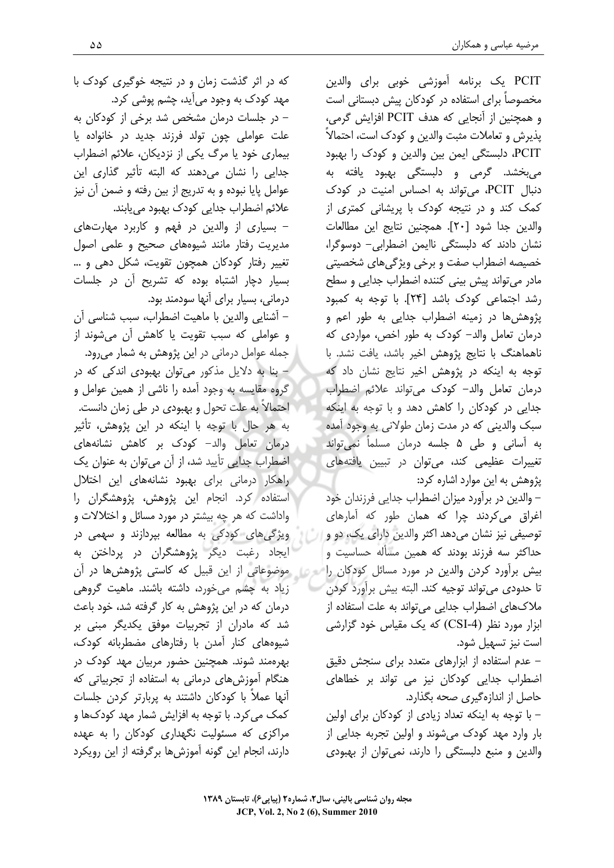PCIT یک برنامه آموزشی خوبی برای والدین مخصوصاً برای استفاده در کودکان پیش دبستانی است و همچنین از آنجایی که هدف PCIT افزایش گرمی، پذیرش و تعاملات مثبت والدین و کودک است، احتمالاً PCIT، دلبستگی ایمن بین والدین و کودک را بهبود می بخشد. گرمی و دلبستگی بهبود یافته به دنبال PCIT، می تواند به احساس امنیت در کودک کمک کند و در نتیجه کودک با پریشانی کمتری از والدين جدا شود [٢٠]. همچنين نتايج اين مطالعات نشان دادند که دلبستگی ناایمن اضطرابی- دوسوگرا، خصیصه اضطراب صفت و برخی ویژگیهای شخصیتی مادر می تواند پیش بینی کننده اضطراب جدایی و سطح رشد اجتماعی کودک باشد [۲۴]. با توجه به کمبود پژوهش ها در زمینه اضطراب جدایی به طور اعم و درمان تعامل والد- کودک به طور اخص، مواردی که ناهماهنگ با نتايج پژوهش اخير باشد، يافت نشد. با توجه به اینکه در پژوهش اخیر نتایج نشان داد که درمان تعامل والد- كودك مى تواند علائم اضطراب جدایی در کودکان را کاهش دهد و با توجه به اینکه سبک والدینی که در مدت زمان طولانی به وجود آمده به آسانی و طی ۵ جلسه درمان مسلماً نمیٍتواند تغییرات عظیمی کند، میتوان در تبیین یافتههای یژوهش به این موارد اشاره کرد:

– والدین در برآورد میزان اضطراب جدایی فرزندان خود اغراق میکردند چرا که همان طور که آمارهای توصيفي نيز نشان مي دهد اكثر والدين داراي يك، دو و حداکثر سه فرزند بودند که همین مسأله حساسیت و بیش برآورد کردن والدین در مورد مسائل کودکان را تا حدودی می تواند توجیه کند. البته بیش برآورد کردن ملاکهای اضطراب جدایی می تواند به علت استفاده از ابزار مورد نظر (CSI-4) که یک مقیاس خود گزارشی است نيز تسهيل شود.

– عدم استفاده از ابزارهای متعدد برای سنجش دقیق اضطراب جدایی کودکان نیز می تواند بر خطاهای حاصل از اندازهگیری صحه بگذارد.

– با توجه به اینکه تعداد زیادی از کودکان برای اولین بار وارد مهد کودک میشوند و اولین تجربه جدایی از والدین و منبع دلبستگی را دارند، نمی توان از بهبودی

مجله روان شناسی بالینی، سال۲، شماره۲ (پیاپی۶)، تابستان ۱۳۸۹ JCP, Vol. 2, No 2 (6), Summer 2010

که در اثر گذشت زمان و در نتیجه خوگیری کودک با مهد کودک به وجود میآید، چشم پوشی کرد. – در جلسات درمان مشخص شد برخی از کودکان به علت عواملي چون تولد فرزند جديد در خانواده يا بیماری خود یا مرگ یکی از نزدیکان، علائم اضطراب جدایی را نشان میدهند که البته تأثیر گذاری این عوامل پایا نبوده و به تدریج از بین رفته و ضمن آن نیز علائم اضطراب جدایی کودک بهبود می یابند. – بسیاری از والدین در فهم و کاربرد مهارتهای مدیریت رفتار مانند شیوههای صحیح و علمی اصول تغییر رفتار کودکان همچون تقویت، شکل دهی و … بسیار دچار اشتباه بوده که تشریح آن در جلسات درمانی، بسیار برای آنها سودمند بود. – آشنایی والدین با ماهیت اضطراب، سبب شناسی آن

و عواملی که سبب تقویت یا کاهش آن میشوند از جمله عوامل درمانی در این پژوهش به شمار میرود. – بنا به دلایل مذکور میتوان بهبودی اندکی که در گروه مقایسه به وجود آمده را ناشی از همین عوامل و احتمالاً به علت تحول و بهبودی در طی زمان دانست. به هر حال با توجه با اینکه در این پژوهش، تأثیر درمان تعامل والد- کودک بر کاهش نشانههای اضطراب جدایی تأیید شد، از آن می توان به عنوان یک راهکار درمانی برای بهبود نشانههای این اختلال استفاده كرد. انجام اين پژوهش، پژوهشگران را واداشت که هر چه بیشتر در مورد مسائل و اختلالات و ویژگیهای کودکی به مطالعه بیردازند و سهمی در ایجاد رغبت دیگر پژوهشگران در پرداختن به ۔<br>محمد موضوعاتی از این قبیل که کاستی پژوهش ها در آن زیاد به چشم میخورد، داشته باشند. ماهیت گروهی درمان که در این پژوهش به کار گرفته شد، خود باعث شد که مادران از تجربیات موفق یکدیگر مبنی بر شیوههای کنار آمدن با رفتارهای مضطربانه کودک، بهرهمند شوند. همچنین حضور مربیان مهد کودک در هنگام آموزشهای درمانی به استفاده از تجربیاتی که آنها عملاً با کودکان داشتند به پربارتر کردن جلسات کمک می کرد. با توجه به افزایش شمار مهد کودک ها و مراکزی که مسئولیت نگهداری کودکان را به عهده دارند، انجام این گونه آموزش ها برگرفته از این رویکرد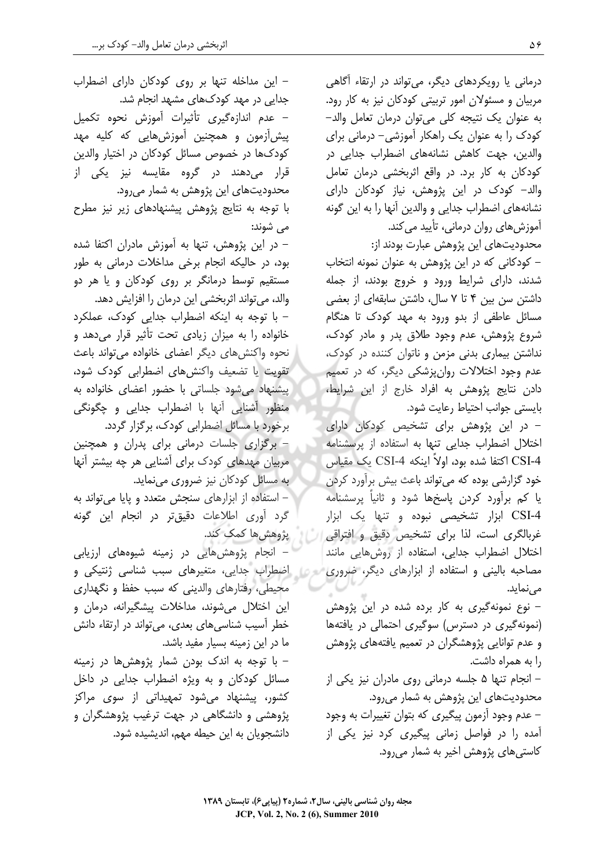– این مداخله تنها بر روی کودکان دارای اضطراب جدایی در مهد کودکهای مشهد انجام شد. – عدم اندازەگیری تأثیرات آموزش نحوه تکمیل پیش[زمون و همچنین آموزش@ایی که کلیه مهد کودکها در خصوص مسائل کودکان در اختیار والدین قرار میدهند در گروه مقایسه نیز یکی از محدودیتهای این پژوهش به شمار میرود. با توجه به نتایج پژوهش پیشنهادهای زیر نیز مطرح مي شوند: – در این پژوهش، تنها به آموزش مادران اکتفا شده بود، در حالیکه انجام برخی مداخلات درمانی به طور مستقیم توسط درمانگر بر روی کودکان و یا هر دو والد، می تواند اثربخشی این درمان را افزایش دهد. - با توجه به اینکه اضطراب جدایی کودک، عملکرد خانواده را به میزان زیادی تحت تأثیر قرار می دهد و نحوه واكنشهاى ديگر اعضاى خانواده مى تواند باعث تقویت یا تضعیف واکنشهای اضطرابی کودک شود، ییشنهاد می شود جلساتی با حضور اعضای خانواده به منظور آشنایی آنها با اضطراب جدایی و چگونگی برخورد با مسائل اضطرابی کودک، برگزار گردد. – برگزاری جلسات درمانی برای پدران و همچنین مربیان مهدهای کودک برای آشنایی هر چه بیشتر آنها به مسائل کودکان نیز ضروری مینماید. – استفاده از ابزارهای سنجش متعدد و پایا میتواند به گرد آوری اطلاعات دقیقتر در انجام این گونه يژوهش ها كمک كند. - انجام پژوهشهایی در زمینه شیوههای ارزیابی است) اضطراب جدایی، متغیرهای سبب شناسی ژنتیکی و محیطی، رفتارهای والدینی که سبب حفظ و نگهداری این اختلال میشوند، مداخلات پیشگیرانه، درمان و خطر آسیب شناسی های بعدی، می تواند در ارتقاء دانش ما در این زمینه بسیار مفید باشد. – با توجه به اندک بودن شمار پژوهشها در زمینه مسائل کودکان و به ویژه اضطراب جدایی در داخل کشور، پیشنهاد می،شود تمهیداتی از سو*ی* مراکز پژوهشي و دانشگاهي در جهت ترغيب پژوهشگران و دانشجویان به این حیطه مهم، اندیشیده شود.

درمانی یا رویکردهای دیگر، می تواند در ارتقاء آگاهی مربیان و مسئولان امور تربیتی کودکان نیز به کار رود. به عنوان یک نتیجه کلی می توان درمان تعامل والد– کودک را به عنوان یک راهکار آموزشی– درمانی برای والدین، جهت کاهش نشانههای اضطراب جدایی در كودكان به كار برد. در واقع اثربخشى درمان تعامل والد– کودک در این پژوهش، نیاز کودکان دارای نشانههای اضطراب جدایی و والدین آنها را به این گونه آموزش های روان درمانی، تأیید می کند. محدودیتهای این پژوهش عبارت بودند از: – کودکانی که در این پژوهش به عنوان نمونه انتخاب

شدند، دارای شرایط ورود و خروج بودند، از جمله داشتن سن بین ۴ تا ۷ سال، داشتن سابقهای از بعضی مسائل عاطفی از بدو ورود به مهد کودک تا هنگام شروع پژوهش، عدم وجود طلاق پدر و مادر کودک، نداشتن بیماری بدنی مزمن و ناتوان کننده در کودک، عدم وجود اختلالات روانپزشکی دیگر، که در تعمیم دادن نتایج پژوهش به افراد خارج از این شرایط، بايستى جوانب احتياط رعايت شود.

– در این پژوهش برای تشخیص کودکان دارای اختلال اضطراب جدایی تنها به استفاده از پرسشنامه CSI-4 اكتفا شده بود، اولاً اينكه CSI-4 يك مقياس خود گزارشی بوده که می تواند باعث بیش برآورد کردن یا کم برآورد کردن پاسخها شود و ثانیاً پرسشنامه CSI-4 ابزار تشخیصی نبوده و تنها یک ابزار غربالگری است، لذا برای تشخیص دقیق و افتراقی اختلال اضطراب جدایی، استفاده از روشهایی مانند مصاحبه بالینی و استفاده از ابزارهای دیگر، ضروری مے نماید.

– نوع نمونهگیری به کار برده شده در این پژوهش (نمونه گیری در دسترس) سوگیری احتمالی در یافتهها و عدم توانایی پژوهشگران در تعمیم یافتههای پژوهش را به همراه داشت.

– انجام تنها ۵ جلسه درمانی روی مادران نیز یکی از محدودیتهای این پژوهش به شمار می رود. – عدم وجود آزمون پیگیری که بتوان تغییرات به وجود

آمده را در فواصل زمانی پیگیری کرد نیز یکی از کاستی های پژوهش اخیر به شمار می رود.

مجله روان شناسی بالینی، سال۲، شماره۲ (پیاپی۶)، تابستان ۱۳۸۹ JCP, Vol. 2, No. 2 (6), Summer 2010